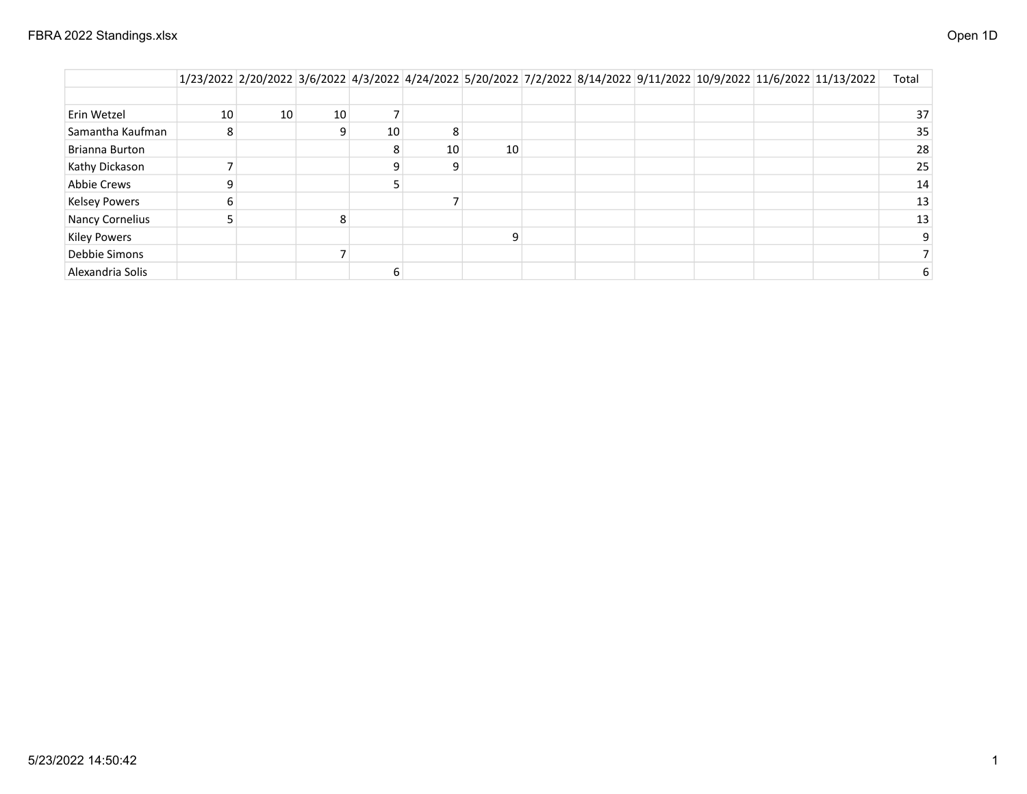|                      |    |    |    |    |    |    |  |  | 1/23/2022 2/20/2022 3/6/2022 4/3/2022 4/24/2022 5/20/2022 7/2/2022 8/14/2022 9/11/2022 10/9/2022 11/6/2022 11/13/2022 | Total           |
|----------------------|----|----|----|----|----|----|--|--|-----------------------------------------------------------------------------------------------------------------------|-----------------|
|                      |    |    |    |    |    |    |  |  |                                                                                                                       |                 |
| Erin Wetzel          | 10 | 10 | 10 |    |    |    |  |  |                                                                                                                       | 37 <sup>2</sup> |
| Samantha Kaufman     | ŏ  |    |    | 10 |    |    |  |  |                                                                                                                       | 35              |
| Brianna Burton       |    |    |    | 8  | 10 | 10 |  |  |                                                                                                                       | 28              |
| Kathy Dickason       |    |    |    |    |    |    |  |  |                                                                                                                       | 25              |
| Abbie Crews          |    |    |    |    |    |    |  |  |                                                                                                                       | 14              |
| <b>Kelsey Powers</b> |    |    |    |    |    |    |  |  |                                                                                                                       | 13              |
| Nancy Cornelius      |    |    | 8  |    |    |    |  |  |                                                                                                                       | 13 <sup>1</sup> |
| <b>Kiley Powers</b>  |    |    |    |    |    |    |  |  |                                                                                                                       |                 |
| Debbie Simons        |    |    |    |    |    |    |  |  |                                                                                                                       |                 |
| Alexandria Solis     |    |    |    |    |    |    |  |  |                                                                                                                       |                 |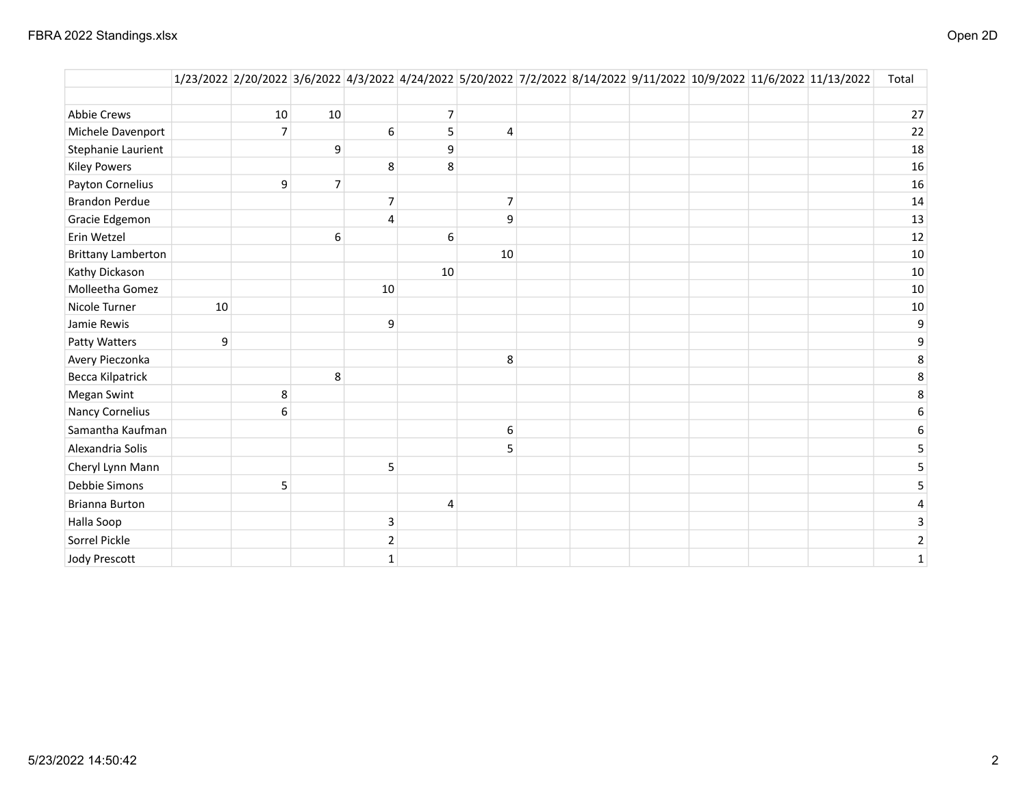|                           |    |                |                |                         |                |                |  |  | 1/23/2022 2/20/2022 3/6/2022 4/3/2022 4/24/2022 5/20/2022 7/2/2022 8/14/2022 9/11/2022 10/9/2022 11/6/2022 11/13/2022 | Total          |
|---------------------------|----|----------------|----------------|-------------------------|----------------|----------------|--|--|-----------------------------------------------------------------------------------------------------------------------|----------------|
| <b>Abbie Crews</b>        |    | 10             | 10             |                         | $\overline{7}$ |                |  |  |                                                                                                                       | 27             |
| Michele Davenport         |    | $\overline{7}$ |                | 6                       | 5              | 4              |  |  |                                                                                                                       | 22             |
| Stephanie Laurient        |    |                | 9              |                         | 9              |                |  |  |                                                                                                                       | 18             |
| <b>Kiley Powers</b>       |    |                |                | 8                       | 8              |                |  |  |                                                                                                                       | 16             |
| Payton Cornelius          |    | 9              | $\overline{7}$ |                         |                |                |  |  |                                                                                                                       | 16             |
| <b>Brandon Perdue</b>     |    |                |                | $\overline{7}$          |                | $\overline{7}$ |  |  |                                                                                                                       | 14             |
| Gracie Edgemon            |    |                |                | 4                       |                | 9              |  |  |                                                                                                                       | 13             |
| Erin Wetzel               |    |                | 6              |                         | $\,6\,$        |                |  |  |                                                                                                                       | 12             |
| <b>Brittany Lamberton</b> |    |                |                |                         |                | 10             |  |  |                                                                                                                       | 10             |
| Kathy Dickason            |    |                |                |                         | 10             |                |  |  |                                                                                                                       | 10             |
| Molleetha Gomez           |    |                |                | 10                      |                |                |  |  |                                                                                                                       | 10             |
| Nicole Turner             | 10 |                |                |                         |                |                |  |  |                                                                                                                       | 10             |
| Jamie Rewis               |    |                |                | 9                       |                |                |  |  |                                                                                                                       | 9              |
| Patty Watters             | 9  |                |                |                         |                |                |  |  |                                                                                                                       | 9              |
| Avery Pieczonka           |    |                |                |                         |                | 8              |  |  |                                                                                                                       | 8              |
| Becca Kilpatrick          |    |                | 8              |                         |                |                |  |  |                                                                                                                       | 8              |
| <b>Megan Swint</b>        |    | 8              |                |                         |                |                |  |  |                                                                                                                       | 8              |
| <b>Nancy Cornelius</b>    |    | 6              |                |                         |                |                |  |  |                                                                                                                       | 6              |
| Samantha Kaufman          |    |                |                |                         |                | 6              |  |  |                                                                                                                       | 6              |
| Alexandria Solis          |    |                |                |                         |                | 5              |  |  |                                                                                                                       |                |
| Cheryl Lynn Mann          |    |                |                | 5                       |                |                |  |  |                                                                                                                       | 5              |
| <b>Debbie Simons</b>      |    | 5              |                |                         |                |                |  |  |                                                                                                                       | 5              |
| <b>Brianna Burton</b>     |    |                |                |                         | 4              |                |  |  |                                                                                                                       | 4              |
| Halla Soop                |    |                |                | $\overline{\mathbf{3}}$ |                |                |  |  |                                                                                                                       | 3              |
| Sorrel Pickle             |    |                |                | $\overline{2}$          |                |                |  |  |                                                                                                                       | $\overline{2}$ |
| <b>Jody Prescott</b>      |    |                |                | $\mathbf{1}$            |                |                |  |  |                                                                                                                       | $\mathbf{1}$   |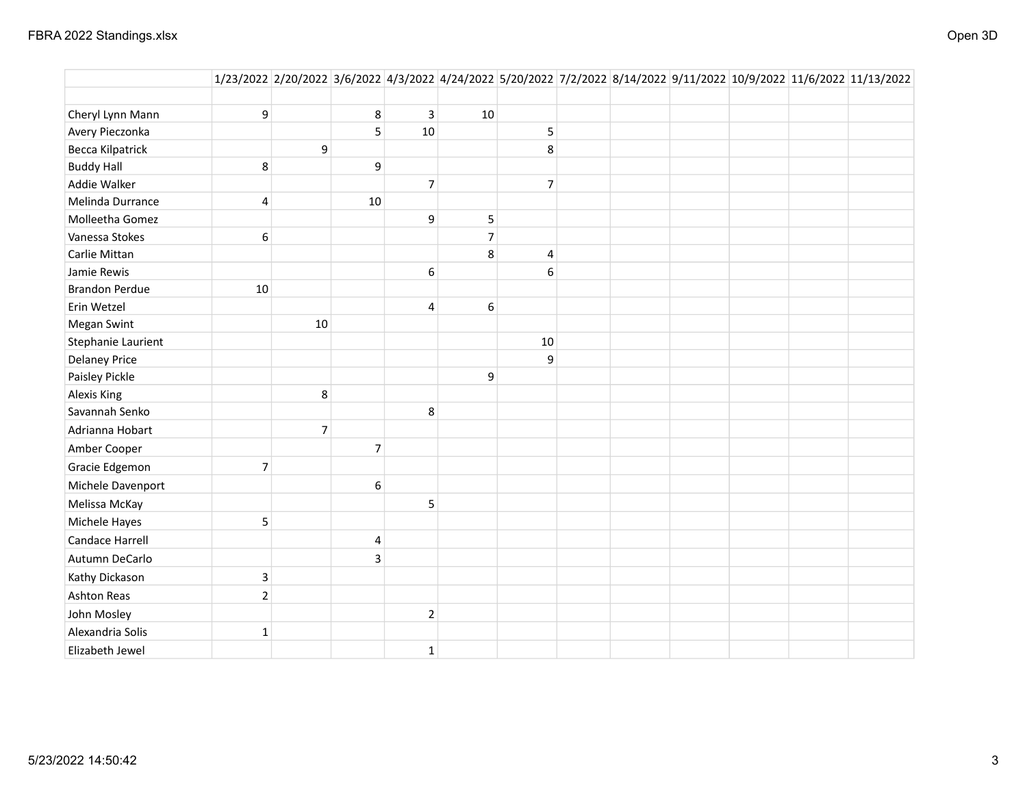|                         |                         |                |    |                |                |                |  |  | 1/23/2022 2/20/2022 3/6/2022 4/3/2022 4/24/2022 5/20/2022 7/2/2022 8/14/2022 9/11/2022 10/9/2022 11/6/2022 11/13/2022 |
|-------------------------|-------------------------|----------------|----|----------------|----------------|----------------|--|--|-----------------------------------------------------------------------------------------------------------------------|
|                         |                         |                |    |                |                |                |  |  |                                                                                                                       |
| Cheryl Lynn Mann        | 9                       |                | 8  | 3              | 10             |                |  |  |                                                                                                                       |
| Avery Pieczonka         |                         |                | 5  | 10             |                | 5              |  |  |                                                                                                                       |
| <b>Becca Kilpatrick</b> |                         | 9              |    |                |                | 8              |  |  |                                                                                                                       |
| <b>Buddy Hall</b>       | 8                       |                | 9  |                |                |                |  |  |                                                                                                                       |
| Addie Walker            |                         |                |    | $\overline{7}$ |                | $\overline{7}$ |  |  |                                                                                                                       |
| Melinda Durrance        | $\overline{\mathbf{4}}$ |                | 10 |                |                |                |  |  |                                                                                                                       |
| Molleetha Gomez         |                         |                |    | 9              | 5              |                |  |  |                                                                                                                       |
| Vanessa Stokes          | 6                       |                |    |                | $\overline{7}$ |                |  |  |                                                                                                                       |
| Carlie Mittan           |                         |                |    |                | 8              | $\overline{4}$ |  |  |                                                                                                                       |
| Jamie Rewis             |                         |                |    | 6              |                | 6              |  |  |                                                                                                                       |
| <b>Brandon Perdue</b>   | $10\,$                  |                |    |                |                |                |  |  |                                                                                                                       |
| Erin Wetzel             |                         |                |    | 4              | 6              |                |  |  |                                                                                                                       |
| <b>Megan Swint</b>      |                         | 10             |    |                |                |                |  |  |                                                                                                                       |
| Stephanie Laurient      |                         |                |    |                |                | 10             |  |  |                                                                                                                       |
| <b>Delaney Price</b>    |                         |                |    |                |                | 9              |  |  |                                                                                                                       |
| Paisley Pickle          |                         |                |    |                | 9              |                |  |  |                                                                                                                       |
| <b>Alexis King</b>      |                         | 8              |    |                |                |                |  |  |                                                                                                                       |
| Savannah Senko          |                         |                |    | 8              |                |                |  |  |                                                                                                                       |
| Adrianna Hobart         |                         | $\overline{7}$ |    |                |                |                |  |  |                                                                                                                       |
| Amber Cooper            |                         |                | 7  |                |                |                |  |  |                                                                                                                       |
| Gracie Edgemon          | $\overline{7}$          |                |    |                |                |                |  |  |                                                                                                                       |
| Michele Davenport       |                         |                | 6  |                |                |                |  |  |                                                                                                                       |
| Melissa McKay           |                         |                |    | 5              |                |                |  |  |                                                                                                                       |
| Michele Hayes           | 5                       |                |    |                |                |                |  |  |                                                                                                                       |
| Candace Harrell         |                         |                | 4  |                |                |                |  |  |                                                                                                                       |
| Autumn DeCarlo          |                         |                | 3  |                |                |                |  |  |                                                                                                                       |
| Kathy Dickason          | $\mathsf 3$             |                |    |                |                |                |  |  |                                                                                                                       |
| Ashton Reas             | $\overline{2}$          |                |    |                |                |                |  |  |                                                                                                                       |
| John Mosley             |                         |                |    | $\overline{2}$ |                |                |  |  |                                                                                                                       |
| Alexandria Solis        | $\mathbf{1}$            |                |    |                |                |                |  |  |                                                                                                                       |
| Elizabeth Jewel         |                         |                |    | $\mathbf{1}$   |                |                |  |  |                                                                                                                       |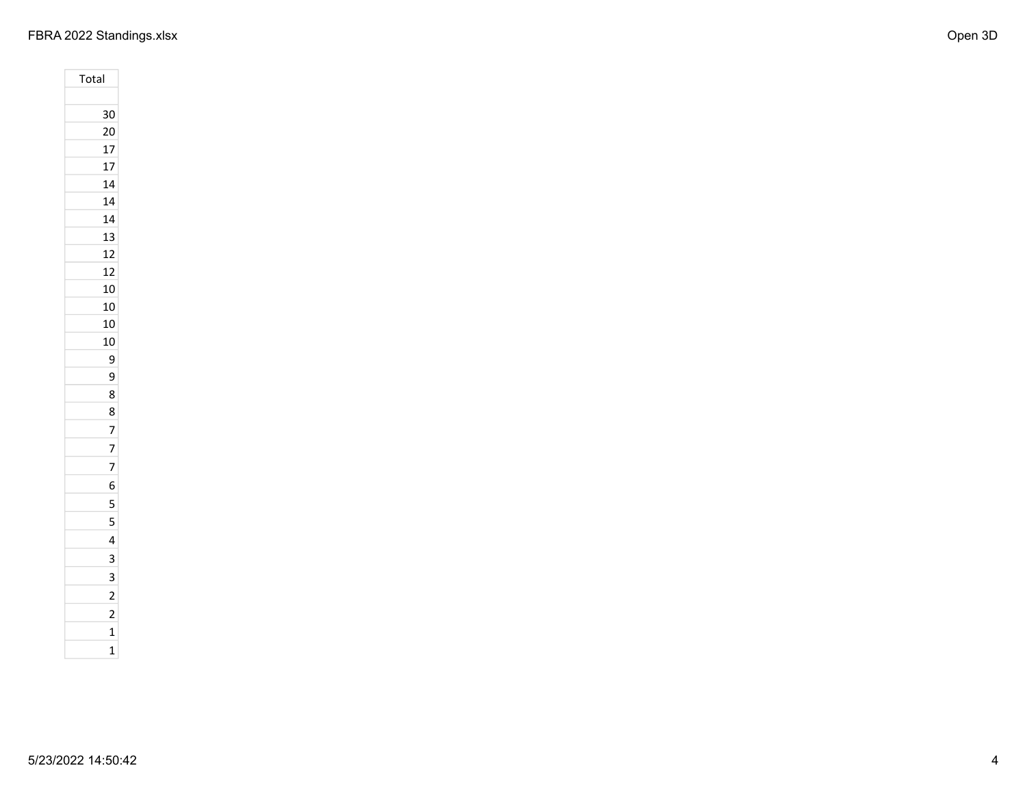## FBRA 2022 Standings.xlsx Open 3D

| Total |                         |
|-------|-------------------------|
|       |                         |
|       | 30                      |
|       | 20                      |
|       | 17                      |
|       | 17                      |
|       | 14                      |
|       | 14                      |
|       | 14                      |
|       | 13                      |
|       | 12                      |
|       | 12                      |
|       | 10                      |
|       | 10                      |
|       | 10                      |
|       | 10                      |
|       | 9                       |
|       | 9                       |
|       | 8                       |
|       | 8                       |
|       | $\overline{7}$          |
|       | 7                       |
|       |                         |
|       | 7                       |
|       | 6                       |
|       | 5                       |
|       | 5                       |
|       | 4                       |
|       | 3                       |
|       | 3                       |
|       | $\overline{c}$          |
|       | $\overline{\mathbf{c}}$ |
|       | $\overline{1}$          |
|       | $\overline{1}$          |